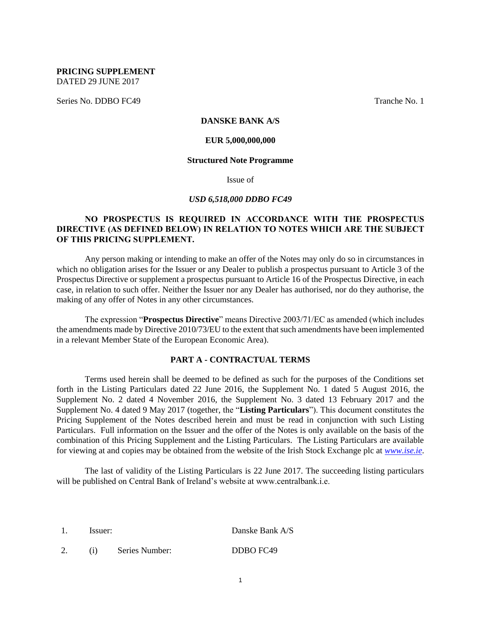**PRICING SUPPLEMENT** DATED 29 JUNE 2017

Series No. DDBO FC49 Tranche No. 1

## **DANSKE BANK A/S**

#### **EUR 5,000,000,000**

#### **Structured Note Programme**

Issue of

## *USD 6,518,000 DDBO FC49*

## **NO PROSPECTUS IS REQUIRED IN ACCORDANCE WITH THE PROSPECTUS DIRECTIVE (AS DEFINED BELOW) IN RELATION TO NOTES WHICH ARE THE SUBJECT OF THIS PRICING SUPPLEMENT.**

Any person making or intending to make an offer of the Notes may only do so in circumstances in which no obligation arises for the Issuer or any Dealer to publish a prospectus pursuant to Article 3 of the Prospectus Directive or supplement a prospectus pursuant to Article 16 of the Prospectus Directive, in each case, in relation to such offer. Neither the Issuer nor any Dealer has authorised, nor do they authorise, the making of any offer of Notes in any other circumstances.

The expression "**Prospectus Directive**" means Directive 2003/71/EC as amended (which includes the amendments made by Directive 2010/73/EU to the extent that such amendments have been implemented in a relevant Member State of the European Economic Area).

## **PART A - CONTRACTUAL TERMS**

Terms used herein shall be deemed to be defined as such for the purposes of the Conditions set forth in the Listing Particulars dated 22 June 2016, the Supplement No. 1 dated 5 August 2016, the Supplement No. 2 dated 4 November 2016, the Supplement No. 3 dated 13 February 2017 and the Supplement No. 4 dated 9 May 2017 (together, the "**Listing Particulars**"). This document constitutes the Pricing Supplement of the Notes described herein and must be read in conjunction with such Listing Particulars. Full information on the Issuer and the offer of the Notes is only available on the basis of the combination of this Pricing Supplement and the Listing Particulars. The Listing Particulars are available for viewing at and copies may be obtained from the website of the Irish Stock Exchange plc at *[www.ise.ie](http://www.ise.ie/)*.

The last of validity of the Listing Particulars is 22 June 2017. The succeeding listing particulars will be published on Central Bank of Ireland's website at www.centralbank.i.e.

1. Issuer: Danske Bank A/S 2. (i) Series Number: DDBO FC49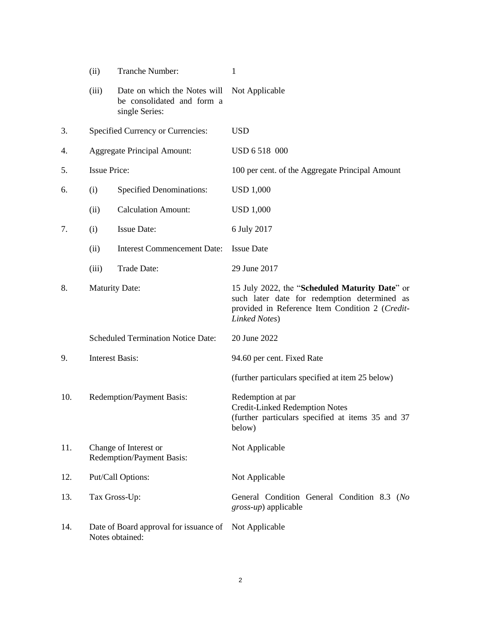|     | (ii)                      | Tranche Number:                                                              | 1                                                                                                                                                                  |
|-----|---------------------------|------------------------------------------------------------------------------|--------------------------------------------------------------------------------------------------------------------------------------------------------------------|
|     | (iii)                     | Date on which the Notes will<br>be consolidated and form a<br>single Series: | Not Applicable                                                                                                                                                     |
| 3.  |                           | Specified Currency or Currencies:                                            | <b>USD</b>                                                                                                                                                         |
| 4.  |                           | <b>Aggregate Principal Amount:</b>                                           | USD 6 518 000                                                                                                                                                      |
| 5.  | <b>Issue Price:</b>       |                                                                              | 100 per cent. of the Aggregate Principal Amount                                                                                                                    |
| 6.  | (i)                       | <b>Specified Denominations:</b>                                              | <b>USD 1,000</b>                                                                                                                                                   |
|     | (ii)                      | <b>Calculation Amount:</b>                                                   | <b>USD 1,000</b>                                                                                                                                                   |
| 7.  | (i)                       | <b>Issue Date:</b>                                                           | 6 July 2017                                                                                                                                                        |
|     | (ii)                      | <b>Interest Commencement Date:</b>                                           | <b>Issue Date</b>                                                                                                                                                  |
|     | (iii)                     | Trade Date:                                                                  | 29 June 2017                                                                                                                                                       |
| 8.  |                           | <b>Maturity Date:</b>                                                        | 15 July 2022, the "Scheduled Maturity Date" or<br>such later date for redemption determined as<br>provided in Reference Item Condition 2 (Credit-<br>Linked Notes) |
|     |                           | <b>Scheduled Termination Notice Date:</b>                                    | 20 June 2022                                                                                                                                                       |
| 9.  |                           | <b>Interest Basis:</b>                                                       | 94.60 per cent. Fixed Rate                                                                                                                                         |
|     |                           |                                                                              | (further particulars specified at item 25 below)                                                                                                                   |
| 10. | Redemption/Payment Basis: |                                                                              | Redemption at par<br><b>Credit-Linked Redemption Notes</b><br>(further particulars specified at items 35 and 37<br>below)                                          |
| 11. |                           | Change of Interest or<br>Redemption/Payment Basis:                           | Not Applicable                                                                                                                                                     |
| 12. |                           | Put/Call Options:                                                            | Not Applicable                                                                                                                                                     |
| 13. |                           | Tax Gross-Up:                                                                | General Condition General Condition 8.3 (No<br><i>gross-up</i> ) applicable                                                                                        |
| 14. |                           | Date of Board approval for issuance of<br>Notes obtained:                    | Not Applicable                                                                                                                                                     |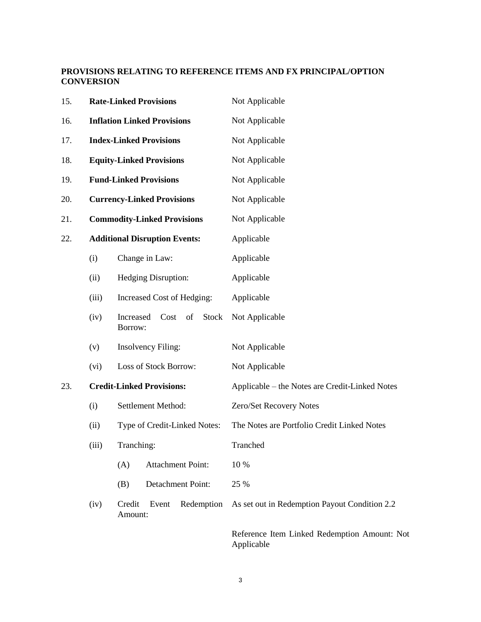## **PROVISIONS RELATING TO REFERENCE ITEMS AND FX PRINCIPAL/OPTION CONVERSION**

| 15. |       | <b>Rate-Linked Provisions</b>                      | Not Applicable                                             |
|-----|-------|----------------------------------------------------|------------------------------------------------------------|
| 16. |       | <b>Inflation Linked Provisions</b>                 | Not Applicable                                             |
| 17. |       | <b>Index-Linked Provisions</b>                     | Not Applicable                                             |
| 18. |       | <b>Equity-Linked Provisions</b>                    | Not Applicable                                             |
| 19. |       | <b>Fund-Linked Provisions</b>                      | Not Applicable                                             |
| 20. |       | <b>Currency-Linked Provisions</b>                  | Not Applicable<br>Not Applicable                           |
| 21. |       | <b>Commodity-Linked Provisions</b>                 |                                                            |
| 22. |       | <b>Additional Disruption Events:</b>               | Applicable                                                 |
|     | (i)   | Change in Law:                                     | Applicable                                                 |
|     | (ii)  | Hedging Disruption:                                | Applicable                                                 |
|     | (iii) | Increased Cost of Hedging:                         | Applicable                                                 |
|     | (iv)  | <b>Stock</b><br>Increased<br>Cost<br>of<br>Borrow: | Not Applicable                                             |
|     | (v)   | <b>Insolvency Filing:</b>                          | Not Applicable                                             |
|     | (vi)  | Loss of Stock Borrow:                              | Not Applicable                                             |
| 23. |       | <b>Credit-Linked Provisions:</b>                   | Applicable – the Notes are Credit-Linked Notes             |
|     | (i)   | Settlement Method:                                 | Zero/Set Recovery Notes                                    |
|     | (ii)  | Type of Credit-Linked Notes:                       | The Notes are Portfolio Credit Linked Notes                |
|     | (iii) | Tranching:                                         | Tranched                                                   |
|     |       | (A)<br><b>Attachment Point:</b>                    | 10 %                                                       |
|     |       | (B)<br>Detachment Point:                           | 25 %                                                       |
|     | (iv)  | Credit<br>Event<br>Redemption<br>Amount:           | As set out in Redemption Payout Condition 2.2              |
|     |       |                                                    | Reference Item Linked Redemption Amount: Not<br>Applicable |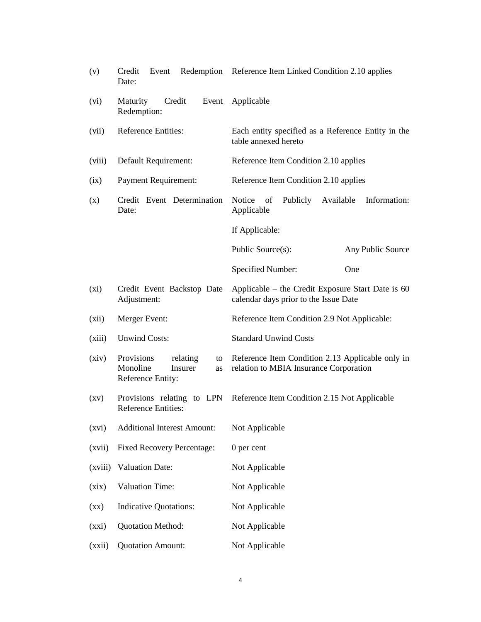| (v)                      | Credit<br>Event<br>Date:                                                       | Redemption Reference Item Linked Condition 2.10 applies                                    |
|--------------------------|--------------------------------------------------------------------------------|--------------------------------------------------------------------------------------------|
| (vi)                     | Maturity<br>Credit<br>Event<br>Redemption:                                     | Applicable                                                                                 |
| (vii)                    | <b>Reference Entities:</b>                                                     | Each entity specified as a Reference Entity in the<br>table annexed hereto                 |
| (viii)                   | Default Requirement:                                                           | Reference Item Condition 2.10 applies                                                      |
| (ix)                     | <b>Payment Requirement:</b>                                                    | Reference Item Condition 2.10 applies                                                      |
| (x)                      | Credit Event Determination<br>Date:                                            | Notice<br>of<br>Publicly<br>Available<br>Information:<br>Applicable                        |
|                          |                                                                                | If Applicable:                                                                             |
|                          |                                                                                | Public Source(s):<br>Any Public Source                                                     |
|                          |                                                                                | Specified Number:<br>One                                                                   |
| $(x_i)$                  | Credit Event Backstop Date<br>Adjustment:                                      | Applicable - the Credit Exposure Start Date is 60<br>calendar days prior to the Issue Date |
| (xii)                    | Merger Event:                                                                  | Reference Item Condition 2.9 Not Applicable:                                               |
| (xiii)                   | <b>Unwind Costs:</b>                                                           | <b>Standard Unwind Costs</b>                                                               |
| (xiv)                    | Provisions<br>relating<br>to<br>Monoline<br>Insurer<br>as<br>Reference Entity: | Reference Item Condition 2.13 Applicable only in<br>relation to MBIA Insurance Corporation |
| $\left( xy\right)$       | <b>Reference Entities:</b>                                                     | Provisions relating to LPN Reference Item Condition 2.15 Not Applicable                    |
| (xvi)                    | <b>Additional Interest Amount:</b>                                             | Not Applicable                                                                             |
| (xvii)                   | <b>Fixed Recovery Percentage:</b>                                              | $0$ per cent                                                                               |
| (xviii)                  | <b>Valuation Date:</b>                                                         | Not Applicable                                                                             |
| (xix)                    | <b>Valuation Time:</b>                                                         | Not Applicable                                                                             |
| $(\mathbf{X}\mathbf{X})$ | <b>Indicative Quotations:</b>                                                  | Not Applicable                                                                             |
| (xxi)                    | Quotation Method:                                                              | Not Applicable                                                                             |
| (xxii)                   | <b>Quotation Amount:</b>                                                       | Not Applicable                                                                             |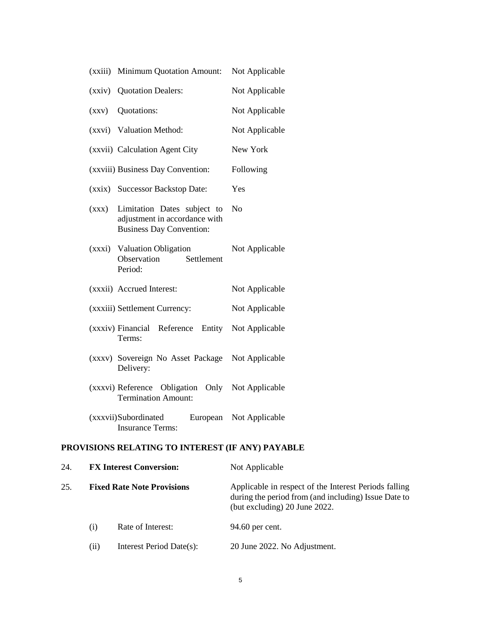|        | (xxiii) Minimum Quotation Amount:                                                               | Not Applicable |
|--------|-------------------------------------------------------------------------------------------------|----------------|
| (xxiv) | <b>Quotation Dealers:</b>                                                                       | Not Applicable |
| (xxy)  | Quotations:                                                                                     | Not Applicable |
|        | (xxvi) Valuation Method:                                                                        | Not Applicable |
|        | (xxvii) Calculation Agent City                                                                  | New York       |
|        | (xxviii) Business Day Convention:                                                               | Following      |
|        | (xxix) Successor Backstop Date:                                                                 | Yes            |
| (xxx)  | Limitation Dates subject to<br>adjustment in accordance with<br><b>Business Day Convention:</b> | No             |
|        | (xxxi) Valuation Obligation<br>Observation<br>Settlement<br>Period:                             | Not Applicable |
|        | (xxxii) Accrued Interest:                                                                       | Not Applicable |
|        | (xxxiii) Settlement Currency:                                                                   | Not Applicable |
|        | Entity<br>(xxxiv) Financial<br>Reference<br>Terms:                                              | Not Applicable |
|        | (xxxv) Sovereign No Asset Package<br>Delivery:                                                  | Not Applicable |
|        | (xxxvi) Reference Obligation Only Not Applicable<br><b>Termination Amount:</b>                  |                |
|        | (xxxvii)Subordinated<br>European<br><b>Insurance Terms:</b>                                     | Not Applicable |

## **PROVISIONS RELATING TO INTEREST (IF ANY) PAYABLE**

| 24. |                                   | <b>FX Interest Conversion:</b> | Not Applicable                                                                                                                                 |
|-----|-----------------------------------|--------------------------------|------------------------------------------------------------------------------------------------------------------------------------------------|
| 25. | <b>Fixed Rate Note Provisions</b> |                                | Applicable in respect of the Interest Periods falling<br>during the period from (and including) Issue Date to<br>(but excluding) 20 June 2022. |
|     | (i)                               | Rate of Interest:              | 94.60 per cent.                                                                                                                                |
|     | (i)                               | Interest Period Date(s):       | 20 June 2022. No Adjustment.                                                                                                                   |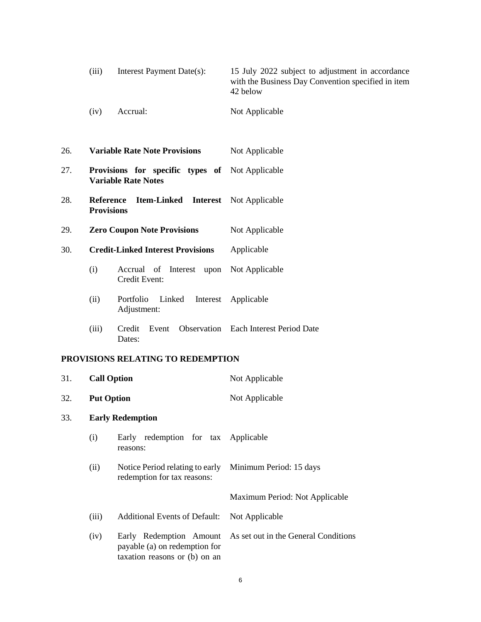| (iii) | Interest Payment Date(s): | 15 July 2022 subject to adjustment in accordance   |
|-------|---------------------------|----------------------------------------------------|
|       |                           | with the Business Day Convention specified in item |
|       |                           | 42 below                                           |
|       |                           |                                                    |

(iv) Accrual: Not Applicable

| 26. | <b>Variable Rate Note Provisions</b> | Not Applicable |
|-----|--------------------------------------|----------------|
|-----|--------------------------------------|----------------|

- 27. **Provisions for specific types of**  Not Applicable **Variable Rate Notes**
- 28. **Reference Item-Linked Interest**  Not Applicable **Provisions**
- 29. **Zero Coupon Note Provisions** Not Applicable
- 30. **Credit-Linked Interest Provisions** Applicable
	- (i) Accrual of Interest upon Not Applicable Credit Event:
	- (ii) Portfolio Linked Adjustment: Interest Applicable
	- (iii) Credit Event Observation Each Interest Period Date Dates:

## **PROVISIONS RELATING TO REDEMPTION**

| 31. | <b>Call Option</b>      |                                                                | Not Applicable                                               |
|-----|-------------------------|----------------------------------------------------------------|--------------------------------------------------------------|
| 32. | <b>Put Option</b>       |                                                                | Not Applicable                                               |
| 33. | <b>Early Redemption</b> |                                                                |                                                              |
|     | (i)                     | Early redemption for tax Applicable<br>reasons:                |                                                              |
|     | (ii)                    | Notice Period relating to early<br>redemption for tax reasons: | Minimum Period: 15 days                                      |
|     |                         |                                                                | Maximum Period: Not Applicable                               |
|     | (iii)                   | <b>Additional Events of Default:</b>                           | Not Applicable                                               |
|     | (iv)                    | payable (a) on redemption for<br>taxation reasons or (b) on an | Early Redemption Amount As set out in the General Conditions |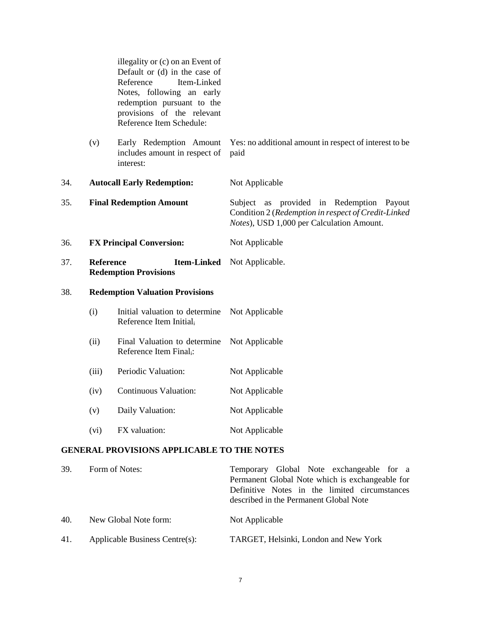<span id="page-6-0"></span>

|     | illegality or (c) on an Event of<br>Default or (d) in the case of<br>Reference<br>Item-Linked<br>Notes, following an early<br>redemption pursuant to the<br>provisions of the relevant<br>Reference Item Schedule: |                                                                       |                                                                                                                                              |
|-----|--------------------------------------------------------------------------------------------------------------------------------------------------------------------------------------------------------------------|-----------------------------------------------------------------------|----------------------------------------------------------------------------------------------------------------------------------------------|
|     | (v)                                                                                                                                                                                                                | Early Redemption Amount<br>includes amount in respect of<br>interest: | Yes: no additional amount in respect of interest to be<br>paid                                                                               |
| 34. |                                                                                                                                                                                                                    | <b>Autocall Early Redemption:</b>                                     | Not Applicable                                                                                                                               |
| 35. |                                                                                                                                                                                                                    | <b>Final Redemption Amount</b>                                        | Subject as provided in Redemption Payout<br>Condition 2 (Redemption in respect of Credit-Linked<br>Notes), USD 1,000 per Calculation Amount. |
| 36. |                                                                                                                                                                                                                    | <b>FX Principal Conversion:</b>                                       | Not Applicable                                                                                                                               |
| 37. | <b>Reference</b>                                                                                                                                                                                                   | <b>Item-Linked</b><br><b>Redemption Provisions</b>                    | Not Applicable.                                                                                                                              |
| 38. |                                                                                                                                                                                                                    | <b>Redemption Valuation Provisions</b>                                |                                                                                                                                              |
|     | (i)                                                                                                                                                                                                                | Initial valuation to determine<br>Reference Item Initial <sub>i</sub> | Not Applicable                                                                                                                               |
|     | (ii)                                                                                                                                                                                                               | Final Valuation to determine<br>Reference Item Final <sub>i</sub> :   | Not Applicable                                                                                                                               |
|     | (iii)                                                                                                                                                                                                              | Periodic Valuation:                                                   | Not Applicable                                                                                                                               |
|     | (iv)                                                                                                                                                                                                               | Continuous Valuation:                                                 | Not Applicable                                                                                                                               |
|     | (v)                                                                                                                                                                                                                | Daily Valuation:                                                      | Not Applicable                                                                                                                               |
|     | (vi)                                                                                                                                                                                                               | FX valuation:                                                         | Not Applicable                                                                                                                               |
|     |                                                                                                                                                                                                                    | <b>GENERAL PROVISIONS APPLICABLE TO THE NOTES</b>                     |                                                                                                                                              |

# 39. Form of Notes: Temporary Global Note exchangeable for a Permanent Global Note which is exchangeable for Definitive Notes in the limited circumstances described in the Permanent Global Note 40. New Global Note form: Not Applicable 41. Applicable Business Centre(s): TARGET, Helsinki, London and New York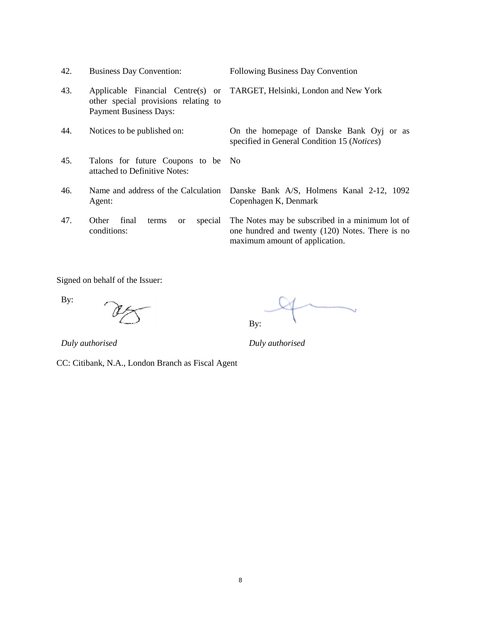| 42. | <b>Business Day Convention:</b>                                                                            | Following Business Day Convention                                                                                                    |
|-----|------------------------------------------------------------------------------------------------------------|--------------------------------------------------------------------------------------------------------------------------------------|
| 43. | Applicable Financial Centre(s) or<br>other special provisions relating to<br><b>Payment Business Days:</b> | TARGET, Helsinki, London and New York                                                                                                |
| 44. | Notices to be published on:                                                                                | On the homepage of Danske Bank Oyj or as<br>specified in General Condition 15 (Notices)                                              |
| 45. | Talons for future Coupons to be No<br>attached to Definitive Notes:                                        |                                                                                                                                      |
| 46. | Name and address of the Calculation<br>Agent:                                                              | Danske Bank A/S, Holmens Kanal 2-12, 1092<br>Copenhagen K, Denmark                                                                   |
| 47. | Other<br>final<br>special<br>terms<br><sub>or</sub><br>conditions:                                         | The Notes may be subscribed in a minimum lot of<br>one hundred and twenty (120) Notes. There is no<br>maximum amount of application. |

Signed on behalf of the Issuer:

By:

CC: Citibank, N.A., London Branch as Fiscal Agent

By:

*Duly authorised Duly authorised*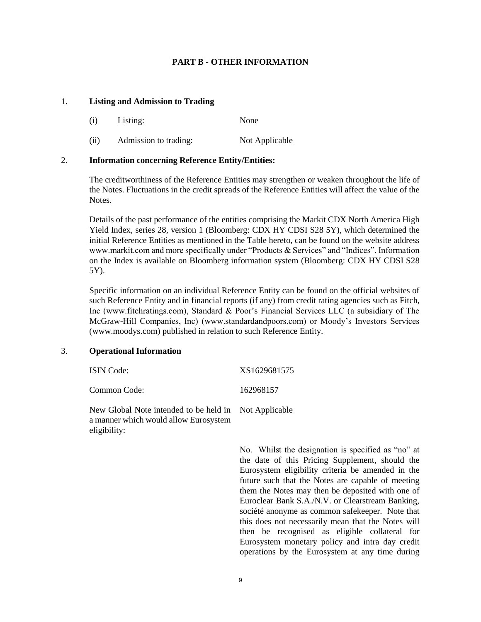## **PART B - OTHER INFORMATION**

#### 1. **Listing and Admission to Trading**

- (i) Listing: None
- (ii) Admission to trading: Not Applicable

## 2. **Information concerning Reference Entity/Entities:**

The creditworthiness of the Reference Entities may strengthen or weaken throughout the life of the Notes. Fluctuations in the credit spreads of the Reference Entities will affect the value of the Notes.

Details of the past performance of the entities comprising the Markit CDX North America High Yield Index, series 28, version 1 (Bloomberg: CDX HY CDSI S28 5Y), which determined the initial Reference Entities as mentioned in the Table hereto, can be found on the website address www.markit.com and more specifically under "Products & Services" and "Indices". Information on the Index is available on Bloomberg information system (Bloomberg: CDX HY CDSI S28 5Y).

Specific information on an individual Reference Entity can be found on the official websites of such Reference Entity and in financial reports (if any) from credit rating agencies such as Fitch, Inc (www.fitchratings.com), Standard & Poor's Financial Services LLC (a subsidiary of The McGraw-Hill Companies, Inc) (www.standardandpoors.com) or Moody's Investors Services (www.moodys.com) published in relation to such Reference Entity.

#### 3. **Operational Information**

| <b>ISIN</b> Code:                                                                                              | XS1629681575 |
|----------------------------------------------------------------------------------------------------------------|--------------|
| Common Code:                                                                                                   | 162968157    |
| New Global Note intended to be held in Not Applicable<br>a manner which would allow Eurosystem<br>eligibility: |              |

No. Whilst the designation is specified as "no" at the date of this Pricing Supplement, should the Eurosystem eligibility criteria be amended in the future such that the Notes are capable of meeting them the Notes may then be deposited with one of Euroclear Bank S.A./N.V. or Clearstream Banking, société anonyme as common safekeeper. Note that this does not necessarily mean that the Notes will then be recognised as eligible collateral for Eurosystem monetary policy and intra day credit operations by the Eurosystem at any time during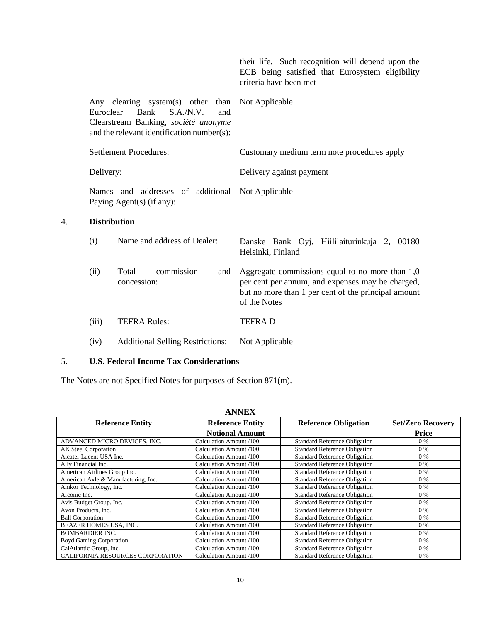|                                                                |                                                                                                                                                     | their life. Such recognition will depend upon the<br>ECB being satisfied that Eurosystem eligibility<br>criteria have been met                                               |
|----------------------------------------------------------------|-----------------------------------------------------------------------------------------------------------------------------------------------------|------------------------------------------------------------------------------------------------------------------------------------------------------------------------------|
| Euroclear                                                      | Any clearing system(s) other than<br>Bank<br>S.A./N.V.<br>and<br>Clearstream Banking, société anonyme<br>and the relevant identification number(s): | Not Applicable                                                                                                                                                               |
|                                                                | <b>Settlement Procedures:</b>                                                                                                                       | Customary medium term note procedures apply                                                                                                                                  |
| Delivery:                                                      |                                                                                                                                                     | Delivery against payment                                                                                                                                                     |
| Names and addresses of additional<br>Paying Agent(s) (if any): |                                                                                                                                                     | Not Applicable                                                                                                                                                               |
| <b>Distribution</b>                                            |                                                                                                                                                     |                                                                                                                                                                              |
| (i)                                                            | Name and address of Dealer:                                                                                                                         | Danske Bank Oyj, Hiililaiturinkuja 2, 00180<br>Helsinki, Finland                                                                                                             |
| (ii)                                                           | commission<br>Total<br>and<br>concession:                                                                                                           | Aggregate commissions equal to no more than $1,0$<br>per cent per annum, and expenses may be charged,<br>but no more than 1 per cent of the principal amount<br>of the Notes |
| (iii)                                                          | <b>TEFRA Rules:</b>                                                                                                                                 | <b>TEFRAD</b>                                                                                                                                                                |
| (iv)                                                           | <b>Additional Selling Restrictions:</b>                                                                                                             | Not Applicable                                                                                                                                                               |
|                                                                |                                                                                                                                                     |                                                                                                                                                                              |

# 5. **U.S. Federal Income Tax Considerations**

4. **Distribution**

The Notes are not Specified Notes for purposes of Section 871(m).

| <b>ANNEX</b>                        |                         |                                      |                          |  |  |  |
|-------------------------------------|-------------------------|--------------------------------------|--------------------------|--|--|--|
| <b>Reference Entity</b>             | <b>Reference Entity</b> | <b>Reference Obligation</b>          | <b>Set/Zero Recovery</b> |  |  |  |
|                                     | <b>Notional Amount</b>  |                                      | <b>Price</b>             |  |  |  |
| ADVANCED MICRO DEVICES, INC.        | Calculation Amount /100 | <b>Standard Reference Obligation</b> | $0\%$                    |  |  |  |
| AK Steel Corporation                | Calculation Amount /100 | <b>Standard Reference Obligation</b> | $0\%$                    |  |  |  |
| Alcatel-Lucent USA Inc.             | Calculation Amount /100 | <b>Standard Reference Obligation</b> | $0\%$                    |  |  |  |
| Ally Financial Inc.                 | Calculation Amount /100 | <b>Standard Reference Obligation</b> | $0\%$                    |  |  |  |
| American Airlines Group Inc.        | Calculation Amount /100 | <b>Standard Reference Obligation</b> | $0\%$                    |  |  |  |
| American Axle & Manufacturing, Inc. | Calculation Amount /100 | <b>Standard Reference Obligation</b> | $0\%$                    |  |  |  |
| Amkor Technology, Inc.              | Calculation Amount /100 | <b>Standard Reference Obligation</b> | $0\%$                    |  |  |  |
| Arconic Inc.                        | Calculation Amount /100 | <b>Standard Reference Obligation</b> | $0\%$                    |  |  |  |
| Avis Budget Group, Inc.             | Calculation Amount /100 | <b>Standard Reference Obligation</b> | $0\%$                    |  |  |  |
| Avon Products, Inc.                 | Calculation Amount /100 | <b>Standard Reference Obligation</b> | 0%                       |  |  |  |
| <b>Ball Corporation</b>             | Calculation Amount /100 | <b>Standard Reference Obligation</b> | $0\%$                    |  |  |  |
| BEAZER HOMES USA, INC.              | Calculation Amount /100 | <b>Standard Reference Obligation</b> | $0\%$                    |  |  |  |
| <b>BOMBARDIER INC.</b>              | Calculation Amount /100 | <b>Standard Reference Obligation</b> | $0\%$                    |  |  |  |
| <b>Boyd Gaming Corporation</b>      | Calculation Amount /100 | <b>Standard Reference Obligation</b> | $0\%$                    |  |  |  |
| CalAtlantic Group, Inc.             | Calculation Amount /100 | <b>Standard Reference Obligation</b> | $0\%$                    |  |  |  |
| CALIFORNIA RESOURCES CORPORATION    | Calculation Amount /100 | <b>Standard Reference Obligation</b> | $0\%$                    |  |  |  |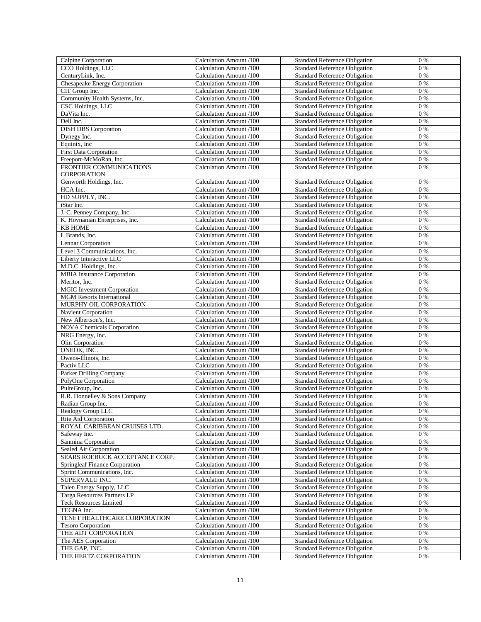| Calpine Corporation                         | Calculation Amount /100 | <b>Standard Reference Obligation</b> | 0%      |
|---------------------------------------------|-------------------------|--------------------------------------|---------|
| CCO Holdings, LLC                           | Calculation Amount /100 | <b>Standard Reference Obligation</b> | 0%      |
| CenturyLink, Inc.                           | Calculation Amount /100 | <b>Standard Reference Obligation</b> | 0%      |
| Chesapeake Energy Corporation               | Calculation Amount /100 | <b>Standard Reference Obligation</b> | $0\%$   |
| CIT Group Inc.                              | Calculation Amount /100 | <b>Standard Reference Obligation</b> | $0\%$   |
| Community Health Systems, Inc.              |                         | <b>Standard Reference Obligation</b> | $0\%$   |
|                                             | Calculation Amount /100 |                                      |         |
| CSC Holdings, LLC                           | Calculation Amount /100 | <b>Standard Reference Obligation</b> | $0\%$   |
| DaVita Inc.                                 | Calculation Amount /100 | <b>Standard Reference Obligation</b> | 0%      |
| Dell Inc.                                   | Calculation Amount /100 | <b>Standard Reference Obligation</b> | $0\%$   |
| <b>DISH DBS</b> Corporation                 | Calculation Amount /100 | <b>Standard Reference Obligation</b> | $0\%$   |
| Dynegy Inc.                                 | Calculation Amount /100 | <b>Standard Reference Obligation</b> | $0\%$   |
| Equinix, Inc.                               | Calculation Amount /100 | <b>Standard Reference Obligation</b> | $0\%$   |
| <b>First Data Corporation</b>               | Calculation Amount /100 | <b>Standard Reference Obligation</b> | 0%      |
| Freeport-McMoRan, Inc.                      | Calculation Amount /100 | <b>Standard Reference Obligation</b> | $0\%$   |
| FRONTIER COMMUNICATIONS                     | Calculation Amount /100 | <b>Standard Reference Obligation</b> | $0\%$   |
| CORPORATION                                 |                         |                                      |         |
| Genworth Holdings, Inc.                     | Calculation Amount /100 | <b>Standard Reference Obligation</b> | 0%      |
| HCA Inc.                                    | Calculation Amount /100 | <b>Standard Reference Obligation</b> | 0%      |
| HD SUPPLY, INC.                             | Calculation Amount /100 | <b>Standard Reference Obligation</b> | 0%      |
|                                             |                         |                                      |         |
| iStar Inc.                                  | Calculation Amount /100 | <b>Standard Reference Obligation</b> | $0\%$   |
| J. C. Penney Company, Inc.                  | Calculation Amount /100 | <b>Standard Reference Obligation</b> | $0\%$   |
| K. Hovnanian Enterprises, Inc.              | Calculation Amount /100 | <b>Standard Reference Obligation</b> | 0%      |
| <b>KB HOME</b>                              | Calculation Amount /100 | <b>Standard Reference Obligation</b> | $0\%$   |
| L Brands, Inc.                              | Calculation Amount /100 | <b>Standard Reference Obligation</b> | $0\%$   |
| Lennar Corporation                          | Calculation Amount /100 | <b>Standard Reference Obligation</b> | $0\%$   |
| Level 3 Communications, Inc.                | Calculation Amount /100 | <b>Standard Reference Obligation</b> | $0\%$   |
| Liberty Interactive LLC                     | Calculation Amount /100 | <b>Standard Reference Obligation</b> | $0\ \%$ |
| M.D.C. Holdings, Inc.                       | Calculation Amount /100 | <b>Standard Reference Obligation</b> | $0\%$   |
| <b>MBIA</b> Insurance Corporation           | Calculation Amount /100 | <b>Standard Reference Obligation</b> | 0%      |
| Meritor, Inc.                               | Calculation Amount /100 | <b>Standard Reference Obligation</b> | $0\%$   |
|                                             |                         |                                      | $0\%$   |
| <b>MGIC</b> Investment Corporation          | Calculation Amount /100 | <b>Standard Reference Obligation</b> |         |
| <b>MGM</b> Resorts International            | Calculation Amount /100 | <b>Standard Reference Obligation</b> | 0%      |
| MURPHY OIL CORPORATION                      | Calculation Amount /100 | <b>Standard Reference Obligation</b> | 0%      |
| Navient Corporation                         | Calculation Amount /100 | <b>Standard Reference Obligation</b> | 0%      |
| New Albertson's, Inc.                       | Calculation Amount /100 | <b>Standard Reference Obligation</b> | 0%      |
| <b>NOVA</b> Chemicals Corporation           | Calculation Amount /100 | <b>Standard Reference Obligation</b> | $0\%$   |
| NRG Energy, Inc.                            | Calculation Amount /100 | <b>Standard Reference Obligation</b> | $0\%$   |
| Olin Corporation                            | Calculation Amount /100 | <b>Standard Reference Obligation</b> | $0\%$   |
| ONEOK, INC.                                 | Calculation Amount /100 | <b>Standard Reference Obligation</b> | $0\%$   |
| Owens-Illinois, Inc.                        | Calculation Amount /100 | <b>Standard Reference Obligation</b> | $0\%$   |
| Pactiv LLC                                  | Calculation Amount /100 | <b>Standard Reference Obligation</b> | $0\%$   |
| Parker Drilling Company                     | Calculation Amount /100 | <b>Standard Reference Obligation</b> | 0%      |
| PolyOne Corporation                         | Calculation Amount /100 | <b>Standard Reference Obligation</b> | $0\%$   |
| PulteGroup, Inc.                            | Calculation Amount /100 | <b>Standard Reference Obligation</b> | $0\%$   |
| R.R. Donnelley & Sons Company               | Calculation Amount /100 | <b>Standard Reference Obligation</b> | $0\ \%$ |
|                                             |                         |                                      |         |
| Radian Group Inc.                           | Calculation Amount /100 | <b>Standard Reference Obligation</b> | $0\%$   |
| Realogy Group LLC                           | Calculation Amount /100 | <b>Standard Reference Obligation</b> | $0\%$   |
| Rite Aid Corporation                        | Calculation Amount /100 | <b>Standard Reference Obligation</b> | $0\ \%$ |
| ROYAL CARIBBEAN CRUISES LTD.                | Calculation Amount /100 | <b>Standard Reference Obligation</b> | $0\%$   |
| Safeway Inc.                                | Calculation Amount /100 | <b>Standard Reference Obligation</b> | $0\%$   |
| Sanmina Corporation                         | Calculation Amount /100 | <b>Standard Reference Obligation</b> | $0\%$   |
| Sealed Air Corporation                      | Calculation Amount /100 | <b>Standard Reference Obligation</b> | $0\%$   |
| SEARS ROEBUCK ACCEPTANCE CORP.              | Calculation Amount /100 | <b>Standard Reference Obligation</b> | $0\%$   |
| Springleaf Finance Corporation              | Calculation Amount /100 | <b>Standard Reference Obligation</b> | 0%      |
| Sprint Communications, Inc.                 | Calculation Amount /100 | <b>Standard Reference Obligation</b> | 0 %     |
| SUPERVALU INC.                              | Calculation Amount /100 | <b>Standard Reference Obligation</b> | 0%      |
| Talen Energy Supply, LLC                    | Calculation Amount /100 | <b>Standard Reference Obligation</b> | $0\ \%$ |
| Targa Resources Partners LP                 | Calculation Amount /100 | <b>Standard Reference Obligation</b> | $0\%$   |
|                                             |                         | <b>Standard Reference Obligation</b> | $0\%$   |
| <b>Teck Resources Limited</b><br>TEGNA Inc. | Calculation Amount /100 |                                      |         |
|                                             | Calculation Amount /100 | <b>Standard Reference Obligation</b> | $0\%$   |
| TENET HEALTHCARE CORPORATION                | Calculation Amount /100 | <b>Standard Reference Obligation</b> | $0\ \%$ |
| <b>Tesoro Corporation</b>                   | Calculation Amount /100 | <b>Standard Reference Obligation</b> | $0\%$   |
| THE ADT CORPORATION                         | Calculation Amount /100 | <b>Standard Reference Obligation</b> | $0\%$   |
| The AES Corporation                         | Calculation Amount /100 | <b>Standard Reference Obligation</b> | 0%      |
| THE GAP, INC.                               | Calculation Amount /100 | <b>Standard Reference Obligation</b> | $0\ \%$ |
| THE HERTZ CORPORATION                       | Calculation Amount /100 | <b>Standard Reference Obligation</b> | 0 %     |